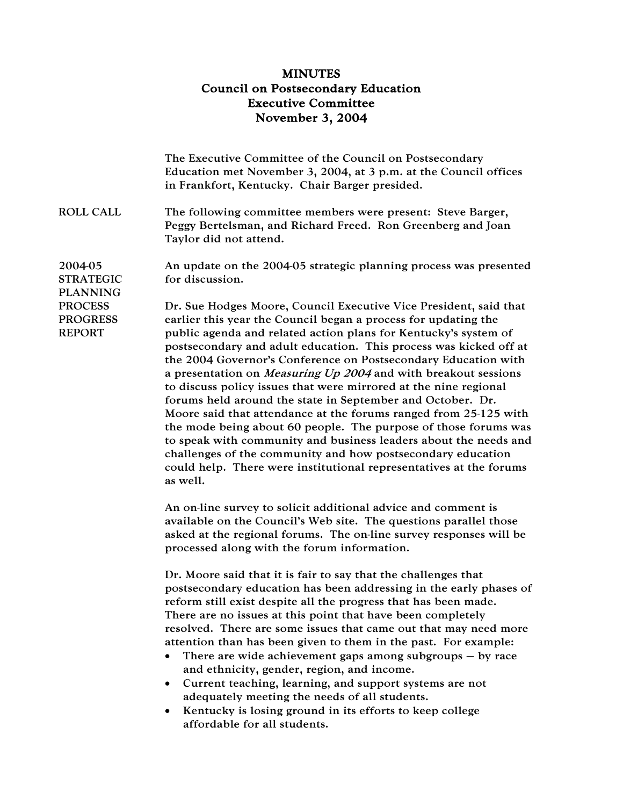## MINUTES Council on Postsecondary Education Executive Committee November 3, 2004

|                                                    | The Executive Committee of the Council on Postsecondary<br>Education met November 3, 2004, at 3 p.m. at the Council offices<br>in Frankfort, Kentucky. Chair Barger presided.                                                                                                                                                                                                                                                                                                                                                                                                                                                                                                                                                                                                                                                                                                                                        |
|----------------------------------------------------|----------------------------------------------------------------------------------------------------------------------------------------------------------------------------------------------------------------------------------------------------------------------------------------------------------------------------------------------------------------------------------------------------------------------------------------------------------------------------------------------------------------------------------------------------------------------------------------------------------------------------------------------------------------------------------------------------------------------------------------------------------------------------------------------------------------------------------------------------------------------------------------------------------------------|
| <b>ROLL CALL</b>                                   | The following committee members were present: Steve Barger,<br>Peggy Bertelsman, and Richard Freed. Ron Greenberg and Joan<br>Taylor did not attend.                                                                                                                                                                                                                                                                                                                                                                                                                                                                                                                                                                                                                                                                                                                                                                 |
| 2004-05<br><b>STRATEGIC</b><br><b>PLANNING</b>     | An update on the 2004-05 strategic planning process was presented<br>for discussion.                                                                                                                                                                                                                                                                                                                                                                                                                                                                                                                                                                                                                                                                                                                                                                                                                                 |
| <b>PROCESS</b><br><b>PROGRESS</b><br><b>REPORT</b> | Dr. Sue Hodges Moore, Council Executive Vice President, said that<br>earlier this year the Council began a process for updating the<br>public agenda and related action plans for Kentucky's system of<br>postsecondary and adult education. This process was kicked off at<br>the 2004 Governor's Conference on Postsecondary Education with<br>a presentation on <i>Measuring Up 2004</i> and with breakout sessions<br>to discuss policy issues that were mirrored at the nine regional<br>forums held around the state in September and October. Dr.<br>Moore said that attendance at the forums ranged from 25-125 with<br>the mode being about 60 people. The purpose of those forums was<br>to speak with community and business leaders about the needs and<br>challenges of the community and how postsecondary education<br>could help. There were institutional representatives at the forums<br>as well. |
|                                                    | An on-line survey to solicit additional advice and comment is<br>available on the Council's Web site. The questions parallel those<br>asked at the regional forums. The on-line survey responses will be<br>processed along with the forum information.                                                                                                                                                                                                                                                                                                                                                                                                                                                                                                                                                                                                                                                              |
|                                                    | Dr. Moore said that it is fair to say that the challenges that<br>postsecondary education has been addressing in the early phases of<br>reform still exist despite all the progress that has been made.<br>There are no issues at this point that have been completely<br>resolved. There are some issues that came out that may need more<br>attention than has been given to them in the past. For example:<br>There are wide achievement gaps among subgroups $-$ by race<br>and ethnicity, gender, region, and income.<br>Current teaching, learning, and support systems are not<br>adequately meeting the needs of all students.<br>Kentucky is losing ground in its efforts to keep college<br>affordable for all students.                                                                                                                                                                                   |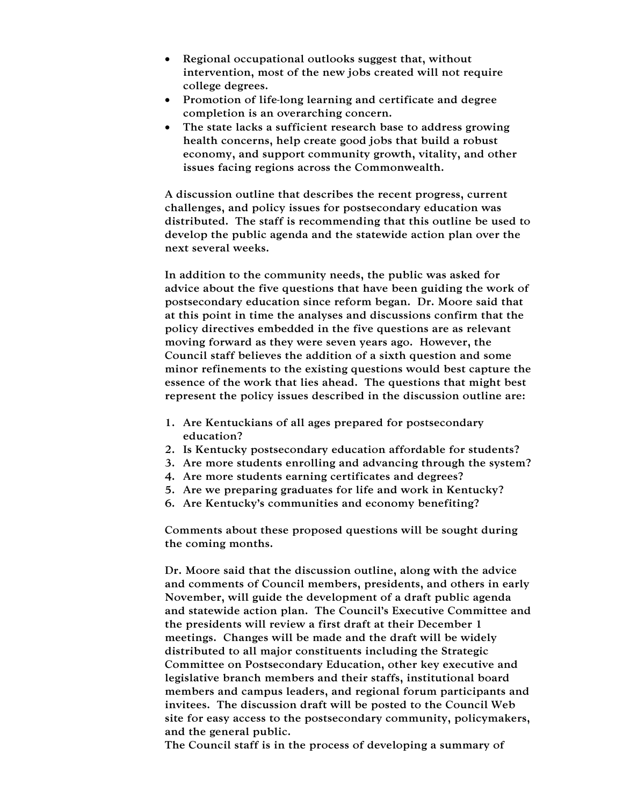- Regional occupational outlooks suggest that, without intervention, most of the new jobs created will not require college degrees.
- Promotion of life-long learning and certificate and degree completion is an overarching concern.
- The state lacks a sufficient research base to address growing health concerns, help create good jobs that build a robust economy, and support community growth, vitality, and other issues facing regions across the Commonwealth.

A discussion outline that describes the recent progress, current challenges, and policy issues for postsecondary education was distributed. The staff is recommending that this outline be used to develop the public agenda and the statewide action plan over the next several weeks.

In addition to the community needs, the public was asked for advice about the five questions that have been guiding the work of postsecondary education since reform began. Dr. Moore said that at this point in time the analyses and discussions confirm that the policy directives embedded in the five questions are as relevant moving forward as they were seven years ago. However, the Council staff believes the addition of a sixth question and some minor refinements to the existing questions would best capture the essence of the work that lies ahead. The questions that might best represent the policy issues described in the discussion outline are:

- 1. Are Kentuckians of all ages prepared for postsecondary education?
- 2. Is Kentucky postsecondary education affordable for students?
- 3. Are more students enrolling and advancing through the system?
- 4. Are more students earning certificates and degrees?
- 5. Are we preparing graduates for life and work in Kentucky?
- 6. Are Kentucky's communities and economy benefiting?

Comments about these proposed questions will be sought during the coming months.

Dr. Moore said that the discussion outline, along with the advice and comments of Council members, presidents, and others in early November, will guide the development of a draft public agenda and statewide action plan. The Council's Executive Committee and the presidents will review a first draft at their December 1 meetings. Changes will be made and the draft will be widely distributed to all major constituents including the Strategic Committee on Postsecondary Education, other key executive and legislative branch members and their staffs, institutional board members and campus leaders, and regional forum participants and invitees. The discussion draft will be posted to the Council Web site for easy access to the postsecondary community, policymakers, and the general public.

The Council staff is in the process of developing a summary of